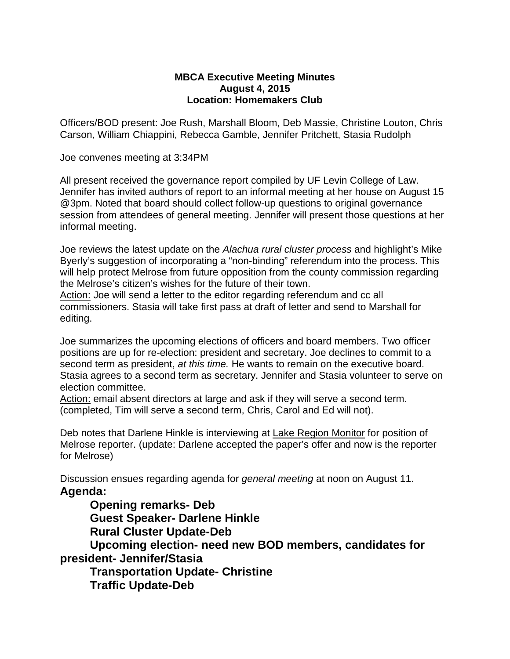## **MBCA Executive Meeting Minutes August 4, 2015 Location: Homemakers Club**

Officers/BOD present: Joe Rush, Marshall Bloom, Deb Massie, Christine Louton, Chris Carson, William Chiappini, Rebecca Gamble, Jennifer Pritchett, Stasia Rudolph

Joe convenes meeting at 3:34PM

All present received the governance report compiled by UF Levin College of Law. Jennifer has invited authors of report to an informal meeting at her house on August 15 @3pm. Noted that board should collect follow-up questions to original governance session from attendees of general meeting. Jennifer will present those questions at her informal meeting.

Joe reviews the latest update on the *Alachua rural cluster process* and highlight's Mike Byerly's suggestion of incorporating a "non-binding" referendum into the process. This will help protect Melrose from future opposition from the county commission regarding the Melrose's citizen's wishes for the future of their town.

Action: Joe will send a letter to the editor regarding referendum and cc all commissioners. Stasia will take first pass at draft of letter and send to Marshall for editing.

Joe summarizes the upcoming elections of officers and board members. Two officer positions are up for re-election: president and secretary. Joe declines to commit to a second term as president, *at this time.* He wants to remain on the executive board. Stasia agrees to a second term as secretary. Jennifer and Stasia volunteer to serve on election committee.

Action: email absent directors at large and ask if they will serve a second term. (completed, Tim will serve a second term, Chris, Carol and Ed will not).

Deb notes that Darlene Hinkle is interviewing at Lake Region Monitor for position of Melrose reporter. (update: Darlene accepted the paper's offer and now is the reporter for Melrose)

Discussion ensues regarding agenda for *general meeting* at noon on August 11. **Agenda:**

**Opening remarks- Deb Guest Speaker- Darlene Hinkle**

**Rural Cluster Update-Deb**

**Upcoming election- need new BOD members, candidates for president- Jennifer/Stasia**

**Transportation Update- Christine Traffic Update-Deb**